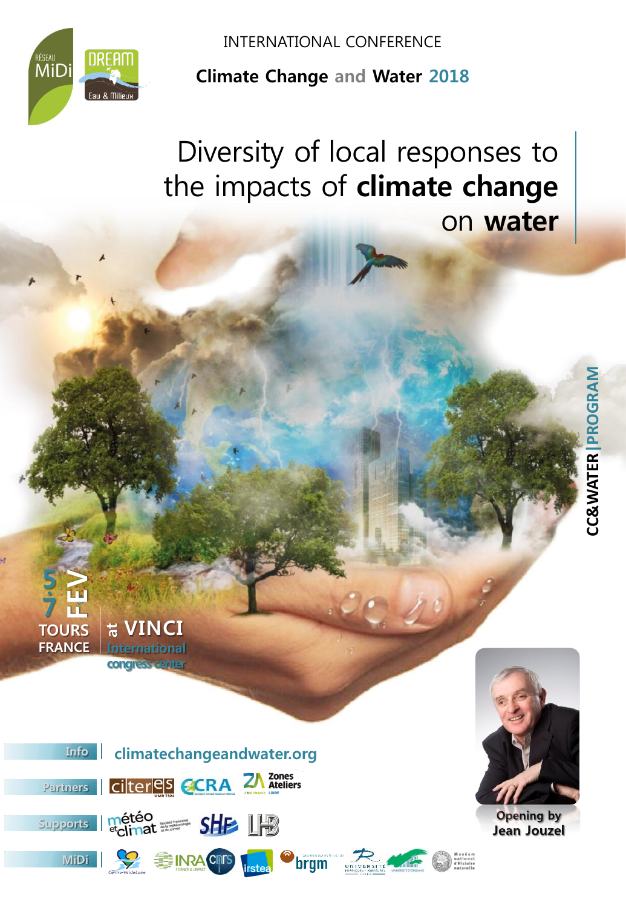

INTERNATIONAL CONFERENCE

**Climate Change and Water 2018**

Diversity of local responses to the impacts of **climate change**  on **water**

UNIVERSI<br>Hrançois - Rabe



 **atVINCI International congress center**

**5**

**.**

**7**

**TOURS FRANCE**

**)**<br>巴



**Opening by Jean Jouzel**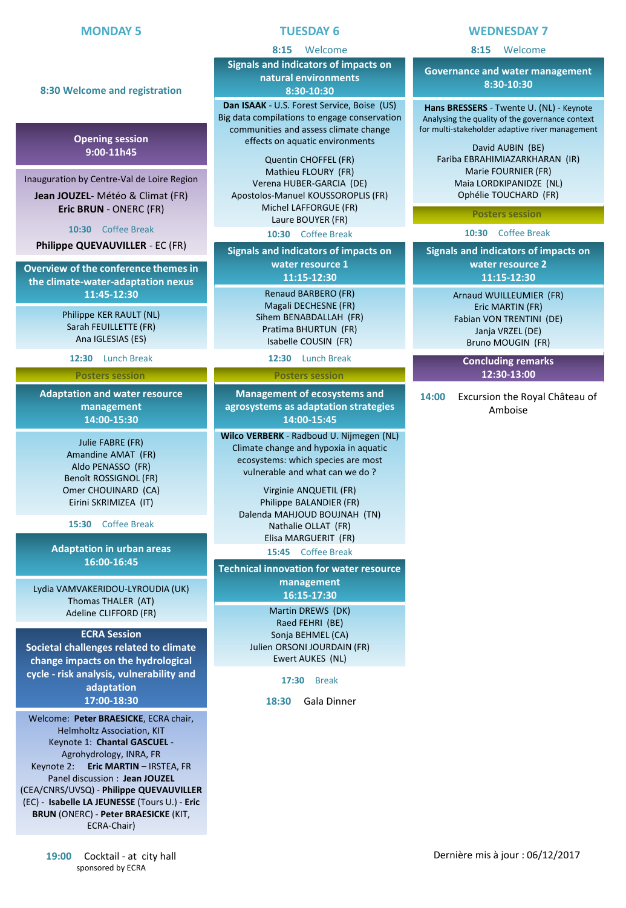**8:30 Welcome and registration**

**Opening session 9:00-11h45**

Inauguration by Centre-Val de Loire Region **Jean JOUZEL**- Météo & Climat (FR)

### **TUESDAY 6**

#### **8:15** Welcome

**Signals and indicators of impacts on natural environments 8:30-10:30**

**Dan ISAAK** - U.S. Forest Service, Boise (US) Big data compilations to engage conservation communities and assess climate change effects on aquatic environments

Quentin CHOFFEL (FR) Mathieu FLOURY (FR) Verena HUBER-GARCIA (DE) Apostolos-Manuel KOUSSOROPLIS (FR) Michel LAFFORGUE (FR) Laure BOUYER (FR)

**10:30** Coffee Break

**Signals and indicators of impacts on water resource 1 11:15-12:30**

> Renaud BARBERO (FR) Magali DECHESNE (FR) Sihem BENABDALLAH (FR) Pratima BHURTUN (FR) Isabelle COUSIN (FR)

> > **12:30** Lunch Break

#### **Posters session**

**Management of ecosystems and agrosystems as adaptation strategies 14:00-15:45**

**Wilco VERBERK** - Radboud U. Nijmegen (NL) Climate change and hypoxia in aquatic ecosystems: which species are most vulnerable and what can we do ?

Virginie ANQUETIL (FR) Philippe BALANDIER (FR) Dalenda MAHJOUD BOUJNAH (TN) Nathalie OLLAT (FR) Elisa MARGUERIT (FR) **15:45** Coffee Break

**Technical innovation for water resource management 16:15-17:30**

> Martin DREWS (DK) Raed FEHRI (BE) Sonja BEHMEL (CA) Julien ORSONI JOURDAIN (FR) Ewert AUKES (NL)

> > **17:30** Break

**18:30** Gala Dinner

#### **WEDNESDAY 7**

**8:15** Welcome

**Governance and water management 8:30-10:30**

**Hans BRESSERS** - Twente U. (NL) - Keynote Analysing the quality of the governance context for multi-stakeholder adaptive river management

David AUBIN (BE) Fariba EBRAHIMIAZARKHARAN (IR) Marie FOURNIER (FR) Maia LORDKIPANIDZE (NL) Ophélie TOUCHARD (FR)

**Posters session**

**10:30** Coffee Break

**Signals and indicators of impacts on water resource 2 11:15-12:30**

> Arnaud WUILLEUMIER (FR) Eric MARTIN (FR) Fabian VON TRENTINI (DE) Janja VRZEL (DE) Bruno MOUGIN (FR)

> > **Concluding remarks 12:30-13:00**

**14:00** Excursion the Royal Château of Amboise

**Eric BRUN** - ONERC (FR) **10:30** Coffee Break

**Philippe QUEVAUVILLER** - EC (FR)

**Overview of the conference themes in the climate-water-adaptation nexus 11:45-12:30**

> Philippe KER RAULT (NL) Sarah FEUILLETTE (FR) Ana IGLESIAS (ES)

**12:30** Lunch Break

**Posters session**

**Adaptation and water resource management 14:00-15:30**

> Julie FABRE (FR) Amandine AMAT (FR) Aldo PENASSO (FR) Benoît ROSSIGNOL (FR) Omer CHOUINARD (CA) Eirini SKRIMIZEA (IT)

**15:30** Coffee Break

**Adaptation in urban areas 16:00-16:45**

Lydia VAMVAKERIDOU-LYROUDIA (UK) Thomas THALER (AT) Adeline CLIFFORD (FR)

#### **ECRA Session**

**Societal challenges related to climate change impacts on the hydrological cycle - risk analysis, vulnerability and adaptation 17:00-18:30**

Welcome: **Peter BRAESICKE**, ECRA chair, Helmholtz Association, KIT Keynote 1: **Chantal GASCUEL** - Agrohydrology, INRA, FR Keynote 2: **Eric MARTIN** – IRSTEA, FR Panel discussion : **Jean JOUZEL**  (CEA/CNRS/UVSQ) - **Philippe QUEVAUVILLER** (EC) - **Isabelle LA JEUNESSE** (Tours U.) - **Eric BRUN** (ONERC) - **Peter BRAESICKE** (KIT, ECRA-Chair)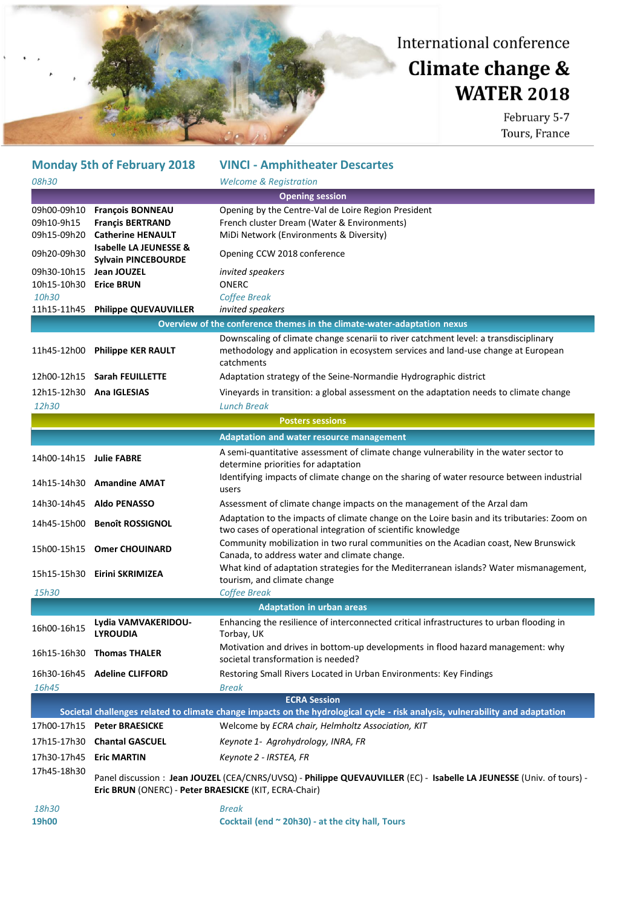

#### **Monday 5th of February 2018 VINCI - Amphitheater Descartes** *08h30 Welcome & Registration* **Opening session** 09h00-09h10 **François BONNEAU** Opening by the Centre-Val de Loire Region President 09h10-9h15 **Françis BERTRAND** French cluster Dream (Water & Environments) 09h15-09h20 **Catherine HENAULT** MiDi Network (Environments & Diversity) 09h20-09h30 **Isabelle LA JEUNESSE & Opening CCW 2018 conference** 09h30-10h15 **Jean JOUZEL** *invited speakers* 10h15-10h30 **Erice BRUN** ONERC *10h30 Coffee Break* 11h15-11h45 **Philippe QUEVAUVILLER** *invited speakers* **Overview of the conference themes in the climate-water-adaptation nexus** 11h45-12h00 **Philippe KER RAULT** Downscaling of climate change scenarii to river catchment level: a transdisciplinary methodology and application in ecosystem services and land-use change at European catchments 12h00-12h15 **Sarah FEUILLETTE** Adaptation strategy of the Seine-Normandie Hydrographic district 12h15-12h30 **Ana IGLESIAS** Vineyards in transition: a global assessment on the adaptation needs to climate change *12h30 Lunch Break* **Posters sessions Adaptation and water resource management** 14h00-14h15 **Julie FABRE** A semi-quantitative assessment of climate change vulnerability in the water sector to determine priorities for adaptation 14h15-14h30 **Amandine AMAT** Identifying impacts of climate change on the sharing of water resource between industrial users 14h30-14h45 **Aldo PENASSO** Assessment of climate change impacts on the management of the Arzal dam 14h45-15h00 **Benoît ROSSIGNOL** Adaptation to the impacts of climate change on the Loire basin and its tributaries: Zoom on two cases of operational integration of scientific knowledge 15h00-15h15 **Omer CHOUINARD** Community mobilization in two rural communities on the Acadian coast, New Brunswick Canada, to address water and climate change. 15h15-15h30 **Eirini SKRIMIZEA** What kind of adaptation strategies for the Mediterranean islands? Water mismanagement, tourism, and climate change *15h30 Coffee Break* **Adaptation in urban areas** 16h00-16h15 **Lydia VAMVAKERIDOU-LYROUDIA** Enhancing the resilience of interconnected critical infrastructures to urban flooding in Torbay, UK 16h15-16h30 **Thomas THALER** Motivation and drives in bottom-up developments in flood hazard management: why societal transformation is needed? 16h30-16h45 **Adeline CLIFFORD** Restoring Small Rivers Located in Urban Environments: Key Findings *16h45 Break* **ECRA Session Societal challenges related to climate change impacts on the hydrological cycle - risk analysis, vulnerability and adaptation** 17h00-17h15 **Peter BRAESICKE** Welcome by *ECRA chair, Helmholtz Association, KIT* 17h15-17h30 **Chantal GASCUEL** *Keynote 1- Agrohydrology, INRA, FR* 17h30-17h45 **Eric MARTIN** *Keynote 2 - IRSTEA, FR* 17h45-18h30 Panel discussion : **Jean JOUZEL** (CEA/CNRS/UVSQ) - **Philippe QUEVAUVILLER** (EC) - **Isabelle LA JEUNESSE** (Univ. of tours) - **Eric BRUN** (ONERC) - **Peter BRAESICKE** (KIT, ECRA-Chair) *18h30 Break*

**19h00 Cocktail (end ~ 20h30) - at the city hall, Tours**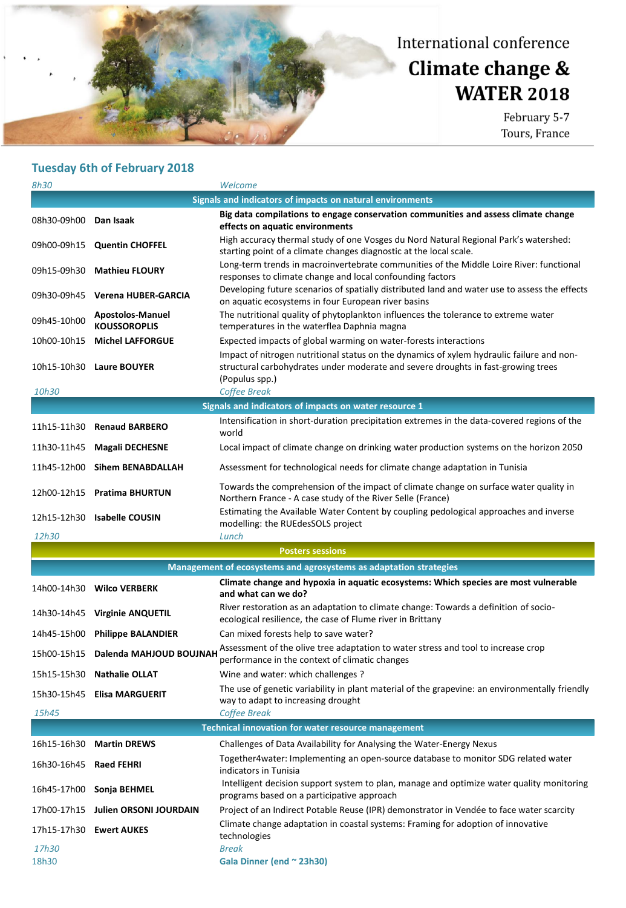# Climate change & **WATER 2018**

February 5-7 Tours, France

|                        | <b>Tuesday 6th of February 2018</b>            |                                                                                                                                                                                                  |
|------------------------|------------------------------------------------|--------------------------------------------------------------------------------------------------------------------------------------------------------------------------------------------------|
| 8h30                   |                                                | Welcome                                                                                                                                                                                          |
|                        |                                                | Signals and indicators of impacts on natural environments                                                                                                                                        |
| 08h30-09h00 Dan Isaak  |                                                | Big data compilations to engage conservation communities and assess climate change<br>effects on aquatic environments                                                                            |
|                        | 09h00-09h15 Quentin CHOFFEL                    | High accuracy thermal study of one Vosges du Nord Natural Regional Park's watershed:<br>starting point of a climate changes diagnostic at the local scale.                                       |
|                        | 09h15-09h30 Mathieu FLOURY                     | Long-term trends in macroinvertebrate communities of the Middle Loire River: functional<br>responses to climate change and local confounding factors                                             |
| 09h30-09h45            | Verena HUBER-GARCIA                            | Developing future scenarios of spatially distributed land and water use to assess the effects<br>on aquatic ecosystems in four European river basins                                             |
| 09h45-10h00            | <b>Apostolos-Manuel</b><br><b>KOUSSOROPLIS</b> | The nutritional quality of phytoplankton influences the tolerance to extreme water<br>temperatures in the waterflea Daphnia magna                                                                |
| 10h00-10h15            | <b>Michel LAFFORGUE</b>                        | Expected impacts of global warming on water-forests interactions                                                                                                                                 |
|                        | 10h15-10h30 Laure BOUYER                       | Impact of nitrogen nutritional status on the dynamics of xylem hydraulic failure and non-<br>structural carbohydrates under moderate and severe droughts in fast-growing trees<br>(Populus spp.) |
| 10h30                  |                                                | <b>Coffee Break</b>                                                                                                                                                                              |
|                        |                                                | Signals and indicators of impacts on water resource 1                                                                                                                                            |
|                        | 11h15-11h30 Renaud BARBERO                     | Intensification in short-duration precipitation extremes in the data-covered regions of the<br>world                                                                                             |
| 11h30-11h45            | <b>Magali DECHESNE</b>                         | Local impact of climate change on drinking water production systems on the horizon 2050                                                                                                          |
| 11h45-12h00            | <b>Sihem BENABDALLAH</b>                       | Assessment for technological needs for climate change adaptation in Tunisia                                                                                                                      |
|                        | 12h00-12h15 Pratima BHURTUN                    | Towards the comprehension of the impact of climate change on surface water quality in<br>Northern France - A case study of the River Selle (France)                                              |
|                        | 12h15-12h30 Isabelle COUSIN                    | Estimating the Available Water Content by coupling pedological approaches and inverse<br>modelling: the RUEdesSOLS project                                                                       |
| 12h30                  |                                                | Lunch                                                                                                                                                                                            |
|                        |                                                | <b>Posters sessions</b>                                                                                                                                                                          |
|                        |                                                | Management of ecosystems and agrosystems as adaptation strategies                                                                                                                                |
|                        | 14h00-14h30 Wilco VERBERK                      | Climate change and hypoxia in aquatic ecosystems: Which species are most vulnerable<br>and what can we do?                                                                                       |
|                        | 14h30-14h45 Virginie ANQUETIL                  | River restoration as an adaptation to climate change: Towards a definition of socio-<br>ecological resilience, the case of Flume river in Brittany                                               |
|                        | 14h45-15h00 Philippe BALANDIER                 | Can mixed forests help to save water?                                                                                                                                                            |
|                        | 15h00-15h15 Dalenda MAHJOUD BOUJNAH            | Assessment of the olive tree adaptation to water stress and tool to increase crop<br>performance in the context of climatic changes                                                              |
|                        | 15h15-15h30 Nathalie OLLAT                     | Wine and water: which challenges ?                                                                                                                                                               |
|                        | 15h30-15h45 Elisa MARGUERIT                    | The use of genetic variability in plant material of the grapevine: an environmentally friendly<br>way to adapt to increasing drought                                                             |
| 15h45                  |                                                | Coffee Break                                                                                                                                                                                     |
|                        |                                                | <b>Technical innovation for water resource management</b>                                                                                                                                        |
| 16h15-16h30            | <b>Martin DREWS</b>                            | Challenges of Data Availability for Analysing the Water-Energy Nexus<br>Together4water: Implementing an open-source database to monitor SDG related water                                        |
| 16h30-16h45 Raed FEHRI |                                                | indicators in Tunisia<br>Intelligent decision support system to plan, manage and optimize water quality monitoring                                                                               |
| 16h45-17h00            | Sonja BEHMEL                                   | programs based on a participative approach                                                                                                                                                       |
| 17h00-17h15            | Julien ORSONI JOURDAIN                         | Project of an Indirect Potable Reuse (IPR) demonstrator in Vendée to face water scarcity                                                                                                         |
|                        | 17h15-17h30 Ewert AUKES                        | Climate change adaptation in coastal systems: Framing for adoption of innovative<br>technologies                                                                                                 |

*17h30 Break* 18h30 **Gala Dinner (end ~ 23h30)**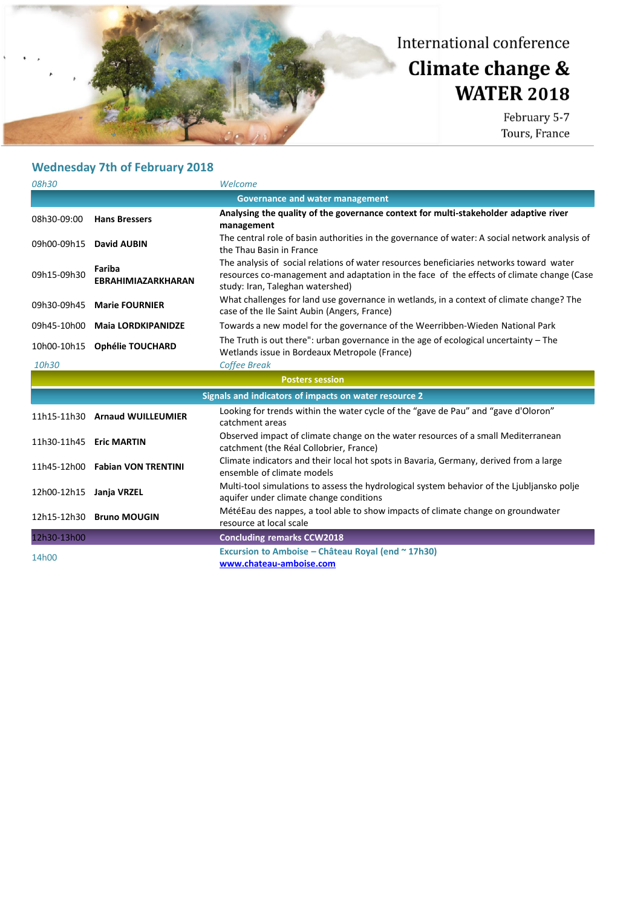## Climate change & **WATER 2018**

| 08h30                                  |                                     | Welcome                                                                                                                                                                                                                  |  |  |
|----------------------------------------|-------------------------------------|--------------------------------------------------------------------------------------------------------------------------------------------------------------------------------------------------------------------------|--|--|
| <b>Governance and water management</b> |                                     |                                                                                                                                                                                                                          |  |  |
| 08h30-09:00                            | <b>Hans Bressers</b>                | Analysing the quality of the governance context for multi-stakeholder adaptive river<br>management                                                                                                                       |  |  |
| 09h00-09h15                            | David AUBIN                         | The central role of basin authorities in the governance of water: A social network analysis of<br>the Thau Basin in France                                                                                               |  |  |
| 09h15-09h30                            | Fariba<br><b>EBRAHIMIAZARKHARAN</b> | The analysis of social relations of water resources beneficiaries networks toward water<br>resources co-management and adaptation in the face of the effects of climate change (Case<br>study: Iran, Taleghan watershed) |  |  |
| 09h30-09h45                            | <b>Marie FOURNIER</b>               | What challenges for land use governance in wetlands, in a context of climate change? The<br>case of the Ile Saint Aubin (Angers, France)                                                                                 |  |  |
| 09h45-10h00                            | <b>Maia LORDKIPANIDZE</b>           | Towards a new model for the governance of the Weerribben-Wieden National Park                                                                                                                                            |  |  |
| 10h00-10h15                            | <b>Ophélie TOUCHARD</b>             | The Truth is out there": urban governance in the age of ecological uncertainty $-$ The<br>Wetlands issue in Bordeaux Metropole (France)                                                                                  |  |  |
| 10h30                                  |                                     | <b>Coffee Break</b>                                                                                                                                                                                                      |  |  |
| <b>Posters session</b>                 |                                     |                                                                                                                                                                                                                          |  |  |
|                                        |                                     |                                                                                                                                                                                                                          |  |  |
|                                        |                                     | Signals and indicators of impacts on water resource 2                                                                                                                                                                    |  |  |
|                                        | 11h15-11h30 Arnaud WUILLEUMIER      | Looking for trends within the water cycle of the "gave de Pau" and "gave d'Oloron"<br>catchment areas                                                                                                                    |  |  |
| 11h30-11h45                            | <b>Eric MARTIN</b>                  | Observed impact of climate change on the water resources of a small Mediterranean<br>catchment (the Réal Collobrier, France)                                                                                             |  |  |
| 11h45-12h00                            | <b>Fabian VON TRENTINI</b>          | Climate indicators and their local hot spots in Bavaria, Germany, derived from a large<br>ensemble of climate models                                                                                                     |  |  |
| 12h00-12h15                            | Janja VRZEL                         | Multi-tool simulations to assess the hydrological system behavior of the Ljubljansko polje<br>aquifer under climate change conditions                                                                                    |  |  |
| 12h15-12h30                            | <b>Bruno MOUGIN</b>                 | Mété Eau des nappes, a tool able to show impacts of climate change on groundwater<br>resource at local scale                                                                                                             |  |  |
| 12h30-13h00                            |                                     | <b>Concluding remarks CCW2018</b>                                                                                                                                                                                        |  |  |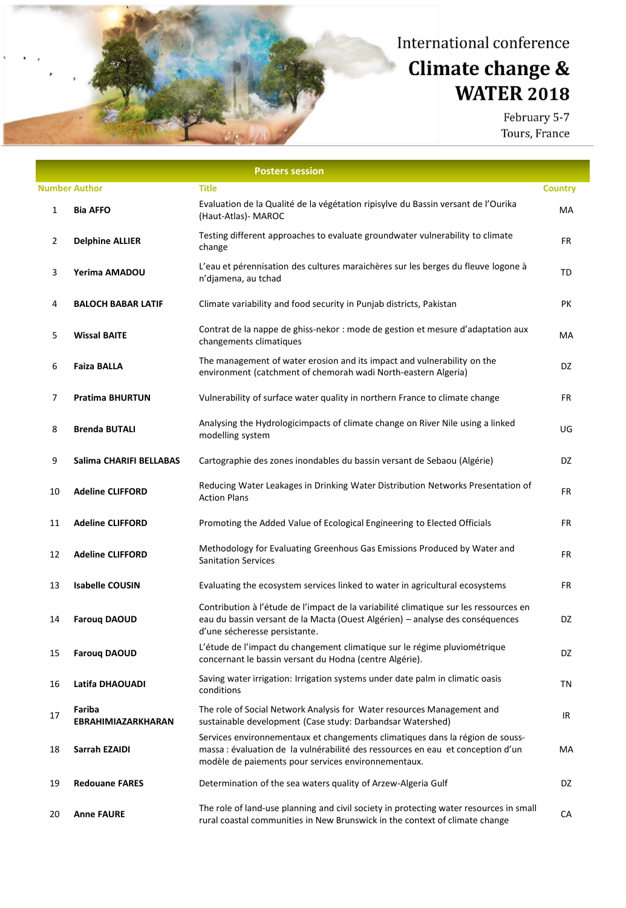# Climate change & **WATER 2018**

|                      |                              | <b>Posters session</b>                                                                                                                                                                                                  |                |
|----------------------|------------------------------|-------------------------------------------------------------------------------------------------------------------------------------------------------------------------------------------------------------------------|----------------|
| <b>Number Author</b> |                              | <b>Title</b>                                                                                                                                                                                                            | <b>Country</b> |
| 1                    | <b>Bia AFFO</b>              | Evaluation de la Qualité de la végétation ripisylve du Bassin versant de l'Ourika<br>(Haut-Atlas)- MAROC                                                                                                                | МA             |
| $\overline{2}$       | <b>Delphine ALLIER</b>       | Testing different approaches to evaluate groundwater vulnerability to climate<br>change                                                                                                                                 | FR             |
| 3                    | Yerima AMADOU                | L'eau et pérennisation des cultures maraichères sur les berges du fleuve logone à<br>n'djamena, au tchad                                                                                                                | TD             |
| 4                    | <b>BALOCH BABAR LATIF</b>    | Climate variability and food security in Punjab districts, Pakistan                                                                                                                                                     | PK             |
| 5                    | <b>Wissal BAITE</b>          | Contrat de la nappe de ghiss-nekor : mode de gestion et mesure d'adaptation aux<br>changements climatiques                                                                                                              | МA             |
| 6                    | <b>Faiza BALLA</b>           | The management of water erosion and its impact and vulnerability on the<br>environment (catchment of chemorah wadi North-eastern Algeria)                                                                               | DZ             |
| 7                    | <b>Pratima BHURTUN</b>       | Vulnerability of surface water quality in northern France to climate change                                                                                                                                             | <b>FR</b>      |
| 8                    | <b>Brenda BUTALI</b>         | Analysing the Hydrologicimpacts of climate change on River Nile using a linked<br>modelling system                                                                                                                      | UG             |
| 9                    | Salima CHARIFI BELLABAS      | Cartographie des zones inondables du bassin versant de Sebaou (Algérie)                                                                                                                                                 | DZ             |
| 10                   | <b>Adeline CLIFFORD</b>      | Reducing Water Leakages in Drinking Water Distribution Networks Presentation of<br><b>Action Plans</b>                                                                                                                  | FR             |
| 11                   | <b>Adeline CLIFFORD</b>      | Promoting the Added Value of Ecological Engineering to Elected Officials                                                                                                                                                | <b>FR</b>      |
| 12                   | <b>Adeline CLIFFORD</b>      | Methodology for Evaluating Greenhous Gas Emissions Produced by Water and<br><b>Sanitation Services</b>                                                                                                                  | <b>FR</b>      |
| 13                   | <b>Isabelle COUSIN</b>       | Evaluating the ecosystem services linked to water in agricultural ecosystems                                                                                                                                            | FR             |
| 14                   | <b>Farouq DAOUD</b>          | Contribution à l'étude de l'impact de la variabilité climatique sur les ressources en<br>eau du bassin versant de la Macta (Ouest Algérien) - analyse des conséquences<br>d'une sécheresse persistante.                 | DZ             |
| 15                   | <b>Farouq DAOUD</b>          | L'étude de l'impact du changement climatique sur le régime pluviométrique<br>concernant le bassin versant du Hodna (centre Algérie).                                                                                    | DZ             |
| 16                   | Latifa DHAOUADI              | Saving water irrigation: Irrigation systems under date palm in climatic oasis<br>conditions                                                                                                                             | ΤN             |
| 17                   | Fariba<br>EBRAHIMIAZARKHARAN | The role of Social Network Analysis for Water resources Management and<br>sustainable development (Case study: Darbandsar Watershed)                                                                                    | IR             |
| 18                   | Sarrah EZAIDI                | Services environnementaux et changements climatiques dans la région de souss-<br>massa : évaluation de la vulnérabilité des ressources en eau et conception d'un<br>modèle de paiements pour services environnementaux. | МA             |
| 19                   | <b>Redouane FARES</b>        | Determination of the sea waters quality of Arzew-Algeria Gulf                                                                                                                                                           | DZ             |
| 20                   | <b>Anne FAURE</b>            | The role of land-use planning and civil society in protecting water resources in small<br>rural coastal communities in New Brunswick in the context of climate change                                                   | СA             |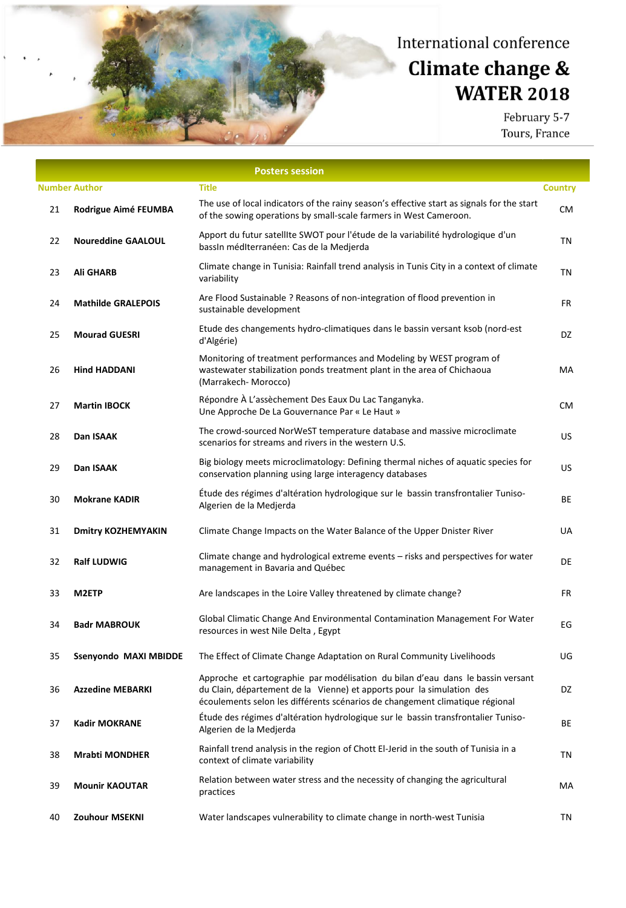# Climate change & **WATER 2018**

|    |                           | <b>Posters session</b>                                                                                                                                                                                                                   |                |
|----|---------------------------|------------------------------------------------------------------------------------------------------------------------------------------------------------------------------------------------------------------------------------------|----------------|
|    | <b>Number Author</b>      | <b>Title</b>                                                                                                                                                                                                                             | <b>Country</b> |
| 21 | Rodrigue Aimé FEUMBA      | The use of local indicators of the rainy season's effective start as signals for the start<br>of the sowing operations by small-scale farmers in West Cameroon.                                                                          | СM             |
| 22 | <b>Noureddine GAALOUL</b> | Apport du futur satellite SWOT pour l'étude de la variabilité hydrologique d'un<br>bassin méditerranéen: Cas de la Medjerda                                                                                                              | ΤN             |
| 23 | <b>Ali GHARB</b>          | Climate change in Tunisia: Rainfall trend analysis in Tunis City in a context of climate<br>variability                                                                                                                                  | TN             |
| 24 | <b>Mathilde GRALEPOIS</b> | Are Flood Sustainable ? Reasons of non-integration of flood prevention in<br>sustainable development                                                                                                                                     | FR             |
| 25 | <b>Mourad GUESRI</b>      | Etude des changements hydro-climatiques dans le bassin versant ksob (nord-est<br>d'Algérie)                                                                                                                                              | DZ             |
| 26 | <b>Hind HADDANI</b>       | Monitoring of treatment performances and Modeling by WEST program of<br>wastewater stabilization ponds treatment plant in the area of Chichaoua<br>(Marrakech-Morocco)                                                                   | МA             |
| 27 | <b>Martin IBOCK</b>       | Répondre À L'assèchement Des Eaux Du Lac Tanganyka.<br>Une Approche De La Gouvernance Par « Le Haut »                                                                                                                                    | СM             |
| 28 | Dan ISAAK                 | The crowd-sourced NorWeST temperature database and massive microclimate<br>scenarios for streams and rivers in the western U.S.                                                                                                          | US             |
| 29 | Dan ISAAK                 | Big biology meets microclimatology: Defining thermal niches of aquatic species for<br>conservation planning using large interagency databases                                                                                            | <b>US</b>      |
| 30 | <b>Mokrane KADIR</b>      | Étude des régimes d'altération hydrologique sur le bassin transfrontalier Tuniso-<br>Algerien de la Medjerda                                                                                                                             | ВE             |
| 31 | <b>Dmitry KOZHEMYAKIN</b> | Climate Change Impacts on the Water Balance of the Upper Dnister River                                                                                                                                                                   | <b>UA</b>      |
| 32 | <b>Ralf LUDWIG</b>        | Climate change and hydrological extreme events - risks and perspectives for water<br>management in Bavaria and Québec                                                                                                                    | DE             |
| 33 | M2ETP                     | Are landscapes in the Loire Valley threatened by climate change?                                                                                                                                                                         | FR             |
| 34 | <b>Badr MABROUK</b>       | Global Climatic Change And Environmental Contamination Management For Water<br>resources in west Nile Delta, Egypt                                                                                                                       | EG             |
| 35 | Ssenyondo MAXI MBIDDE     | The Effect of Climate Change Adaptation on Rural Community Livelihoods                                                                                                                                                                   | UG             |
| 36 | <b>Azzedine MEBARKI</b>   | Approche et cartographie par modélisation du bilan d'eau dans le bassin versant<br>du Clain, département de la Vienne) et apports pour la simulation des<br>écoulements selon les différents scénarios de changement climatique régional | DZ             |
| 37 | <b>Kadir MOKRANE</b>      | Étude des régimes d'altération hydrologique sur le bassin transfrontalier Tuniso-<br>Algerien de la Medjerda                                                                                                                             | ВE             |
| 38 | <b>Mrabti MONDHER</b>     | Rainfall trend analysis in the region of Chott El-Jerid in the south of Tunisia in a<br>context of climate variability                                                                                                                   | ΤN             |
| 39 | <b>Mounir KAOUTAR</b>     | Relation between water stress and the necessity of changing the agricultural<br>practices                                                                                                                                                | МA             |
| 40 | Zouhour MSEKNI            | Water landscapes vulnerability to climate change in north-west Tunisia                                                                                                                                                                   | ΤN             |